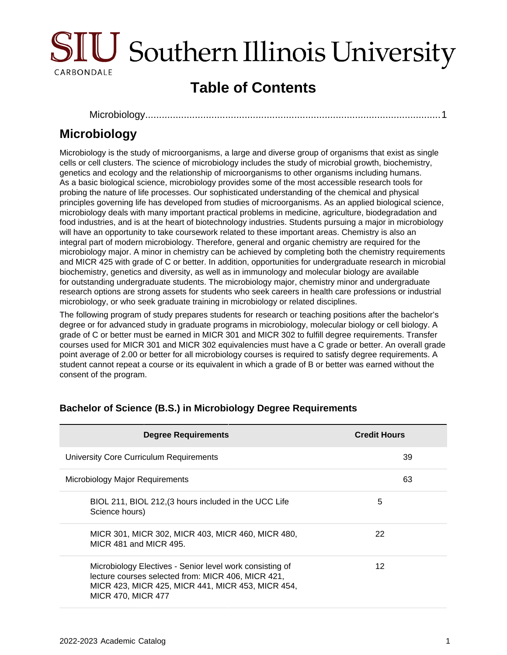

# **Table of Contents**

[Microbiology.......................................................................................................](#page-0-0)....1

## <span id="page-0-0"></span>**Microbiology**

Microbiology is the study of microorganisms, a large and diverse group of organisms that exist as single cells or cell clusters. The science of microbiology includes the study of microbial growth, biochemistry, genetics and ecology and the relationship of microorganisms to other organisms including humans. As a basic biological science, microbiology provides some of the most accessible research tools for probing the nature of life processes. Our sophisticated understanding of the chemical and physical principles governing life has developed from studies of microorganisms. As an applied biological science, microbiology deals with many important practical problems in medicine, agriculture, biodegradation and food industries, and is at the heart of biotechnology industries. Students pursuing a major in microbiology will have an opportunity to take coursework related to these important areas. Chemistry is also an integral part of modern microbiology. Therefore, general and organic chemistry are required for the microbiology major. A minor in chemistry can be achieved by completing both the chemistry requirements and MICR 425 with grade of C or better. In addition, opportunities for undergraduate research in microbial biochemistry, genetics and diversity, as well as in immunology and molecular biology are available for outstanding undergraduate students. The microbiology major, chemistry minor and undergraduate research options are strong assets for students who seek careers in health care professions or industrial microbiology, or who seek graduate training in microbiology or related disciplines.

The following program of study prepares students for research or teaching positions after the bachelor's degree or for advanced study in graduate programs in microbiology, molecular biology or cell biology. A grade of C or better must be earned in MICR 301 and MICR 302 to fulfill degree requirements. Transfer courses used for MICR 301 and MICR 302 equivalencies must have a C grade or better. An overall grade point average of 2.00 or better for all microbiology courses is required to satisfy degree requirements. A student cannot repeat a course or its equivalent in which a grade of B or better was earned without the consent of the program.

| <b>Degree Requirements</b>                                                                                                                                                                       | <b>Credit Hours</b> |
|--------------------------------------------------------------------------------------------------------------------------------------------------------------------------------------------------|---------------------|
| University Core Curriculum Requirements                                                                                                                                                          | 39                  |
| Microbiology Major Requirements                                                                                                                                                                  | 63                  |
| BIOL 211, BIOL 212, (3 hours included in the UCC Life<br>Science hours)                                                                                                                          | 5                   |
| MICR 301, MICR 302, MICR 403, MICR 460, MICR 480,<br>MICR 481 and MICR 495.                                                                                                                      | 22                  |
| Microbiology Electives - Senior level work consisting of<br>lecture courses selected from: MICR 406, MICR 421,<br>MICR 423, MICR 425, MICR 441, MICR 453, MICR 454,<br><b>MICR 470, MICR 477</b> | 12                  |

#### **Bachelor of Science (B.S.) in Microbiology Degree Requirements**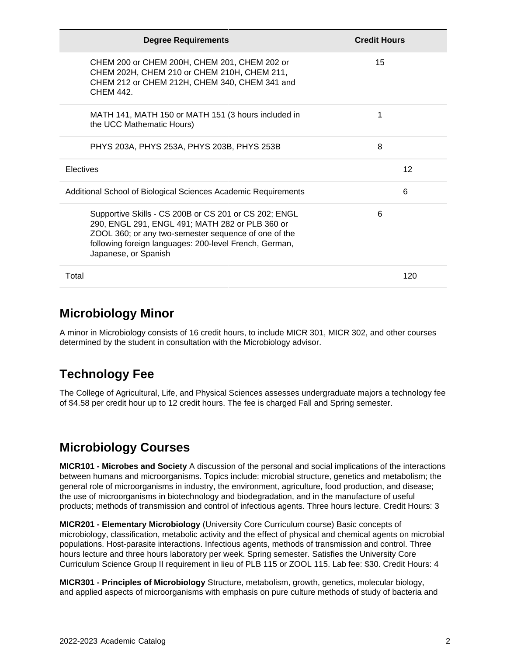| <b>Degree Requirements</b>                                                                                                                                                                                                                         | <b>Credit Hours</b> |
|----------------------------------------------------------------------------------------------------------------------------------------------------------------------------------------------------------------------------------------------------|---------------------|
| CHEM 200 or CHEM 200H, CHEM 201, CHEM 202 or<br>CHEM 202H, CHEM 210 or CHEM 210H, CHEM 211,<br>CHEM 212 or CHEM 212H, CHEM 340, CHEM 341 and<br>CHFM 442                                                                                           | 15                  |
| MATH 141, MATH 150 or MATH 151 (3 hours included in<br>the UCC Mathematic Hours)                                                                                                                                                                   | 1                   |
| PHYS 203A, PHYS 253A, PHYS 203B, PHYS 253B                                                                                                                                                                                                         | 8                   |
| Electives                                                                                                                                                                                                                                          | 12                  |
| Additional School of Biological Sciences Academic Requirements                                                                                                                                                                                     | 6                   |
| Supportive Skills - CS 200B or CS 201 or CS 202; ENGL<br>290, ENGL 291, ENGL 491; MATH 282 or PLB 360 or<br>ZOOL 360; or any two-semester sequence of one of the<br>following foreign languages: 200-level French, German,<br>Japanese, or Spanish | 6                   |
| Total                                                                                                                                                                                                                                              | 120                 |

#### **Microbiology Minor**

A minor in Microbiology consists of 16 credit hours, to include MICR 301, MICR 302, and other courses determined by the student in consultation with the Microbiology advisor.

## **Technology Fee**

The College of Agricultural, Life, and Physical Sciences assesses undergraduate majors a technology fee of \$4.58 per credit hour up to 12 credit hours. The fee is charged Fall and Spring semester.

## **Microbiology Courses**

**MICR101 - Microbes and Society** A discussion of the personal and social implications of the interactions between humans and microorganisms. Topics include: microbial structure, genetics and metabolism; the general role of microorganisms in industry, the environment, agriculture, food production, and disease; the use of microorganisms in biotechnology and biodegradation, and in the manufacture of useful products; methods of transmission and control of infectious agents. Three hours lecture. Credit Hours: 3

**MICR201 - Elementary Microbiology** (University Core Curriculum course) Basic concepts of microbiology, classification, metabolic activity and the effect of physical and chemical agents on microbial populations. Host-parasite interactions. Infectious agents, methods of transmission and control. Three hours lecture and three hours laboratory per week. Spring semester. Satisfies the University Core Curriculum Science Group II requirement in lieu of PLB 115 or ZOOL 115. Lab fee: \$30. Credit Hours: 4

**MICR301 - Principles of Microbiology** Structure, metabolism, growth, genetics, molecular biology, and applied aspects of microorganisms with emphasis on pure culture methods of study of bacteria and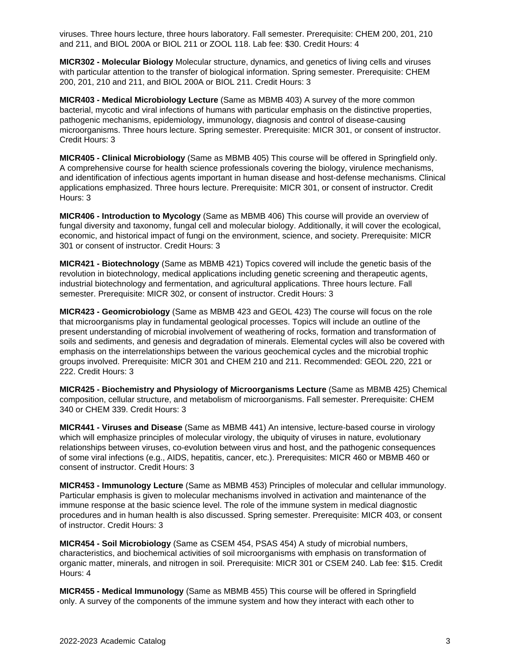viruses. Three hours lecture, three hours laboratory. Fall semester. Prerequisite: CHEM 200, 201, 210 and 211, and BIOL 200A or BIOL 211 or ZOOL 118. Lab fee: \$30. Credit Hours: 4

**MICR302 - Molecular Biology** Molecular structure, dynamics, and genetics of living cells and viruses with particular attention to the transfer of biological information. Spring semester. Prerequisite: CHEM 200, 201, 210 and 211, and BIOL 200A or BIOL 211. Credit Hours: 3

**MICR403 - Medical Microbiology Lecture** (Same as MBMB 403) A survey of the more common bacterial, mycotic and viral infections of humans with particular emphasis on the distinctive properties, pathogenic mechanisms, epidemiology, immunology, diagnosis and control of disease-causing microorganisms. Three hours lecture. Spring semester. Prerequisite: MICR 301, or consent of instructor. Credit Hours: 3

**MICR405 - Clinical Microbiology** (Same as MBMB 405) This course will be offered in Springfield only. A comprehensive course for health science professionals covering the biology, virulence mechanisms, and identification of infectious agents important in human disease and host-defense mechanisms. Clinical applications emphasized. Three hours lecture. Prerequisite: MICR 301, or consent of instructor. Credit Hours: 3

**MICR406 - Introduction to Mycology** (Same as MBMB 406) This course will provide an overview of fungal diversity and taxonomy, fungal cell and molecular biology. Additionally, it will cover the ecological, economic, and historical impact of fungi on the environment, science, and society. Prerequisite: MICR 301 or consent of instructor. Credit Hours: 3

**MICR421 - Biotechnology** (Same as MBMB 421) Topics covered will include the genetic basis of the revolution in biotechnology, medical applications including genetic screening and therapeutic agents, industrial biotechnology and fermentation, and agricultural applications. Three hours lecture. Fall semester. Prerequisite: MICR 302, or consent of instructor. Credit Hours: 3

**MICR423 - Geomicrobiology** (Same as MBMB 423 and GEOL 423) The course will focus on the role that microorganisms play in fundamental geological processes. Topics will include an outline of the present understanding of microbial involvement of weathering of rocks, formation and transformation of soils and sediments, and genesis and degradation of minerals. Elemental cycles will also be covered with emphasis on the interrelationships between the various geochemical cycles and the microbial trophic groups involved. Prerequisite: MICR 301 and CHEM 210 and 211. Recommended: GEOL 220, 221 or 222. Credit Hours: 3

**MICR425 - Biochemistry and Physiology of Microorganisms Lecture** (Same as MBMB 425) Chemical composition, cellular structure, and metabolism of microorganisms. Fall semester. Prerequisite: CHEM 340 or CHEM 339. Credit Hours: 3

**MICR441 - Viruses and Disease** (Same as MBMB 441) An intensive, lecture-based course in virology which will emphasize principles of molecular virology, the ubiquity of viruses in nature, evolutionary relationships between viruses, co-evolution between virus and host, and the pathogenic consequences of some viral infections (e.g., AIDS, hepatitis, cancer, etc.). Prerequisites: MICR 460 or MBMB 460 or consent of instructor. Credit Hours: 3

**MICR453 - Immunology Lecture** (Same as MBMB 453) Principles of molecular and cellular immunology. Particular emphasis is given to molecular mechanisms involved in activation and maintenance of the immune response at the basic science level. The role of the immune system in medical diagnostic procedures and in human health is also discussed. Spring semester. Prerequisite: MICR 403, or consent of instructor. Credit Hours: 3

**MICR454 - Soil Microbiology** (Same as CSEM 454, PSAS 454) A study of microbial numbers, characteristics, and biochemical activities of soil microorganisms with emphasis on transformation of organic matter, minerals, and nitrogen in soil. Prerequisite: MICR 301 or CSEM 240. Lab fee: \$15. Credit Hours: 4

**MICR455 - Medical Immunology** (Same as MBMB 455) This course will be offered in Springfield only. A survey of the components of the immune system and how they interact with each other to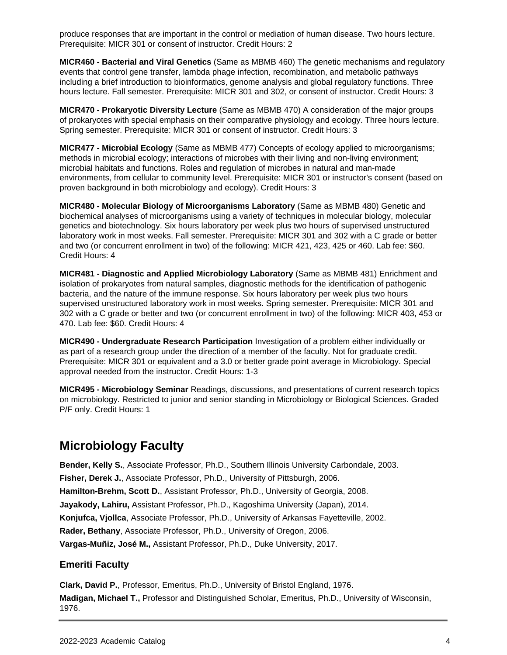produce responses that are important in the control or mediation of human disease. Two hours lecture. Prerequisite: MICR 301 or consent of instructor. Credit Hours: 2

**MICR460 - Bacterial and Viral Genetics** (Same as MBMB 460) The genetic mechanisms and regulatory events that control gene transfer, lambda phage infection, recombination, and metabolic pathways including a brief introduction to bioinformatics, genome analysis and global regulatory functions. Three hours lecture. Fall semester. Prerequisite: MICR 301 and 302, or consent of instructor. Credit Hours: 3

**MICR470 - Prokaryotic Diversity Lecture** (Same as MBMB 470) A consideration of the major groups of prokaryotes with special emphasis on their comparative physiology and ecology. Three hours lecture. Spring semester. Prerequisite: MICR 301 or consent of instructor. Credit Hours: 3

**MICR477 - Microbial Ecology** (Same as MBMB 477) Concepts of ecology applied to microorganisms; methods in microbial ecology; interactions of microbes with their living and non-living environment; microbial habitats and functions. Roles and regulation of microbes in natural and man-made environments, from cellular to community level. Prerequisite: MICR 301 or instructor's consent (based on proven background in both microbiology and ecology). Credit Hours: 3

**MICR480 - Molecular Biology of Microorganisms Laboratory** (Same as MBMB 480) Genetic and biochemical analyses of microorganisms using a variety of techniques in molecular biology, molecular genetics and biotechnology. Six hours laboratory per week plus two hours of supervised unstructured laboratory work in most weeks. Fall semester. Prerequisite: MICR 301 and 302 with a C grade or better and two (or concurrent enrollment in two) of the following: MICR 421, 423, 425 or 460. Lab fee: \$60. Credit Hours: 4

**MICR481 - Diagnostic and Applied Microbiology Laboratory** (Same as MBMB 481) Enrichment and isolation of prokaryotes from natural samples, diagnostic methods for the identification of pathogenic bacteria, and the nature of the immune response. Six hours laboratory per week plus two hours supervised unstructured laboratory work in most weeks. Spring semester. Prerequisite: MICR 301 and 302 with a C grade or better and two (or concurrent enrollment in two) of the following: MICR 403, 453 or 470. Lab fee: \$60. Credit Hours: 4

**MICR490 - Undergraduate Research Participation** Investigation of a problem either individually or as part of a research group under the direction of a member of the faculty. Not for graduate credit. Prerequisite: MICR 301 or equivalent and a 3.0 or better grade point average in Microbiology. Special approval needed from the instructor. Credit Hours: 1-3

**MICR495 - Microbiology Seminar** Readings, discussions, and presentations of current research topics on microbiology. Restricted to junior and senior standing in Microbiology or Biological Sciences. Graded P/F only. Credit Hours: 1

### **Microbiology Faculty**

**Bender, Kelly S.**, Associate Professor, Ph.D., Southern Illinois University Carbondale, 2003.

**Fisher, Derek J.**, Associate Professor, Ph.D., University of Pittsburgh, 2006.

**Hamilton-Brehm, Scott D.**, Assistant Professor, Ph.D., University of Georgia, 2008.

**Jayakody, Lahiru,** Assistant Professor, Ph.D., Kagoshima University (Japan), 2014.

**Konjufca, Vjollca**, Associate Professor, Ph.D., University of Arkansas Fayetteville, 2002.

**Rader, Bethany**, Associate Professor, Ph.D., University of Oregon, 2006.

**Vargas-Muñiz, José M.,** Assistant Professor, Ph.D., Duke University, 2017.

#### **Emeriti Faculty**

**Clark, David P.**, Professor, Emeritus, Ph.D., University of Bristol England, 1976.

**Madigan, Michael T.,** Professor and Distinguished Scholar, Emeritus, Ph.D., University of Wisconsin, 1976.